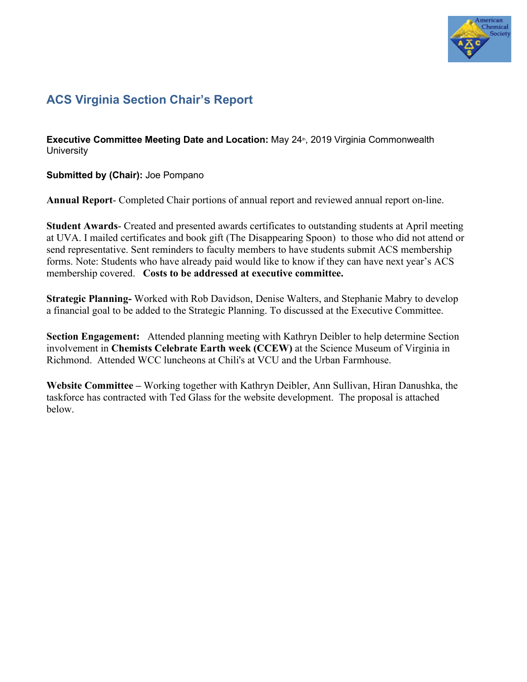

## **ACS Virginia Section Chair's Report**

**Executive Committee Meeting Date and Location: May 24<sup>th</sup>, 2019 Virginia Commonwealth University** 

**Submitted by (Chair):** Joe Pompano

**Annual Report**- Completed Chair portions of annual report and reviewed annual report on-line.

**Student Awards**- Created and presented awards certificates to outstanding students at April meeting at UVA. I mailed certificates and book gift (The Disappearing Spoon) to those who did not attend or send representative. Sent reminders to faculty members to have students submit ACS membership forms. Note: Students who have already paid would like to know if they can have next year's ACS membership covered. **Costs to be addressed at executive committee.**

**Strategic Planning-** Worked with Rob Davidson, Denise Walters, and Stephanie Mabry to develop a financial goal to be added to the Strategic Planning. To discussed at the Executive Committee.

**Section Engagement:** Attended planning meeting with Kathryn Deibler to help determine Section involvement in **Chemists Celebrate Earth week (CCEW)** at the Science Museum of Virginia in Richmond. Attended WCC luncheons at Chili's at VCU and the Urban Farmhouse.

**Website Committee –** Working together with Kathryn Deibler, Ann Sullivan, Hiran Danushka, the taskforce has contracted with Ted Glass for the website development. The proposal is attached below.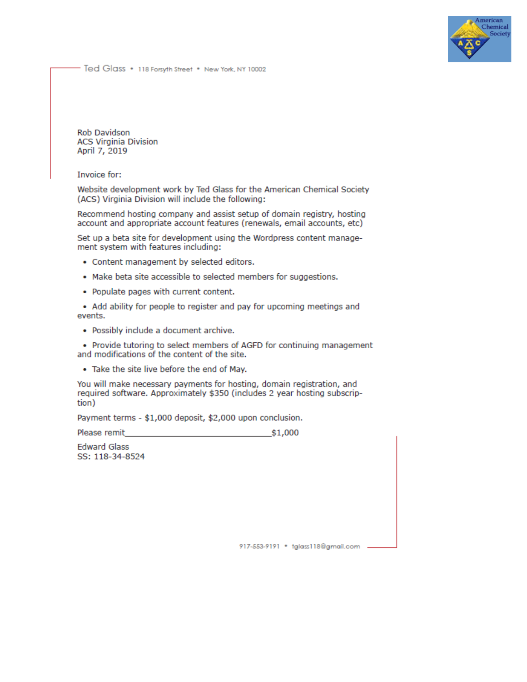

Ted Glass . 118 Forsyth Street . New York, NY 10002

**Rob Davidson ACS Virginia Division** April 7, 2019

Invoice for:

Website development work by Ted Glass for the American Chemical Society (ACS) Virginia Division will include the following:

Recommend hosting company and assist setup of domain registry, hosting account and appropriate account features (renewals, email accounts, etc)

Set up a beta site for development using the Wordpress content management system with features including:

- Content management by selected editors.
- . Make beta site accessible to selected members for suggestions.
- Populate pages with current content.

• Add ability for people to register and pay for upcoming meetings and events.

• Possibly include a document archive.

• Provide tutoring to select members of AGFD for continuing management and modifications of the content of the site.

. Take the site live before the end of May.

You will make necessary payments for hosting, domain registration, and required software. Approximately \$350 (includes 2 year hosting subscription)

Payment terms - \$1,000 deposit, \$2,000 upon conclusion.

Please remit \$1,000

**Edward Glass** SS: 118-34-8524

917-553-9191 · tglass118@gmail.com